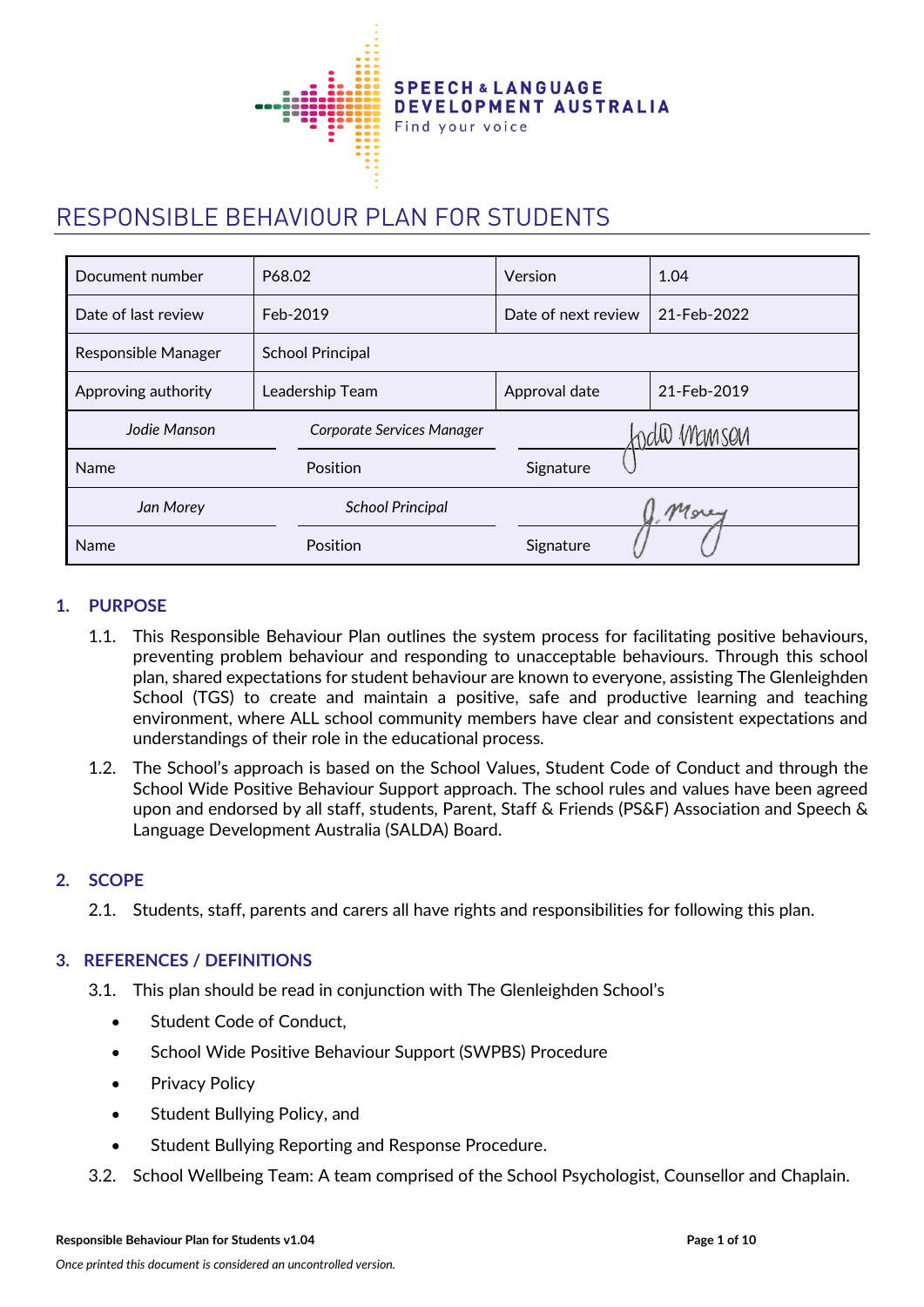

# RESPONSIBLE BEHAVIOUR PLAN FOR STUDENTS

| Document number     | P68.02                     | Version                      | 1.04        |  |
|---------------------|----------------------------|------------------------------|-------------|--|
| Date of last review | Feb-2019                   | Date of next review          | 21-Feb-2022 |  |
| Responsible Manager | <b>School Principal</b>    |                              |             |  |
| Approving authority | Leadership Team            | 21-Feb-2019<br>Approval date |             |  |
| Jodie Manson        | Corporate Services Manager | ndio Manson                  |             |  |
| Name                | Position                   | Signature                    |             |  |
| Jan Morey           | <b>School Principal</b>    |                              | Morey       |  |
| Name                | Position                   | Signature                    |             |  |

## **1. PURPOSE**

- 1.1. This Responsible Behaviour Plan outlines the system process for facilitating positive behaviours, preventing problem behaviour and responding to unacceptable behaviours. Through this school plan, shared expectations for student behaviour are known to everyone, assisting The Glenleighden School (TGS) to create and maintain a positive, safe and productive learning and teaching environment, where ALL school community members have clear and consistent expectations and understandings of their role in the educational process.
- 1.2. The School's approach is based on the School Values, Student Code of Conduct and through the School Wide Positive Behaviour Support approach. The school rules and values have been agreed upon and endorsed by all staff, students, Parent, Staff & Friends (PS&F) Association and Speech & Language Development Australia (SALDA) Board.

#### **2. SCOPE**

2.1. Students, staff, parents and carers all have rights and responsibilities for following this plan.

#### **3. REFERENCES / DEFINITIONS**

- 3.1. This plan should be read in conjunction with The Glenleighden School's
	- Student Code of Conduct,
	- School Wide Positive Behaviour Support (SWPBS) Procedure
	- Privacy Policy
	- Student Bullying Policy, and
	- Student Bullying Reporting and Response Procedure.
- 3.2. School Wellbeing Team: A team comprised of the School Psychologist, Counsellor and Chaplain.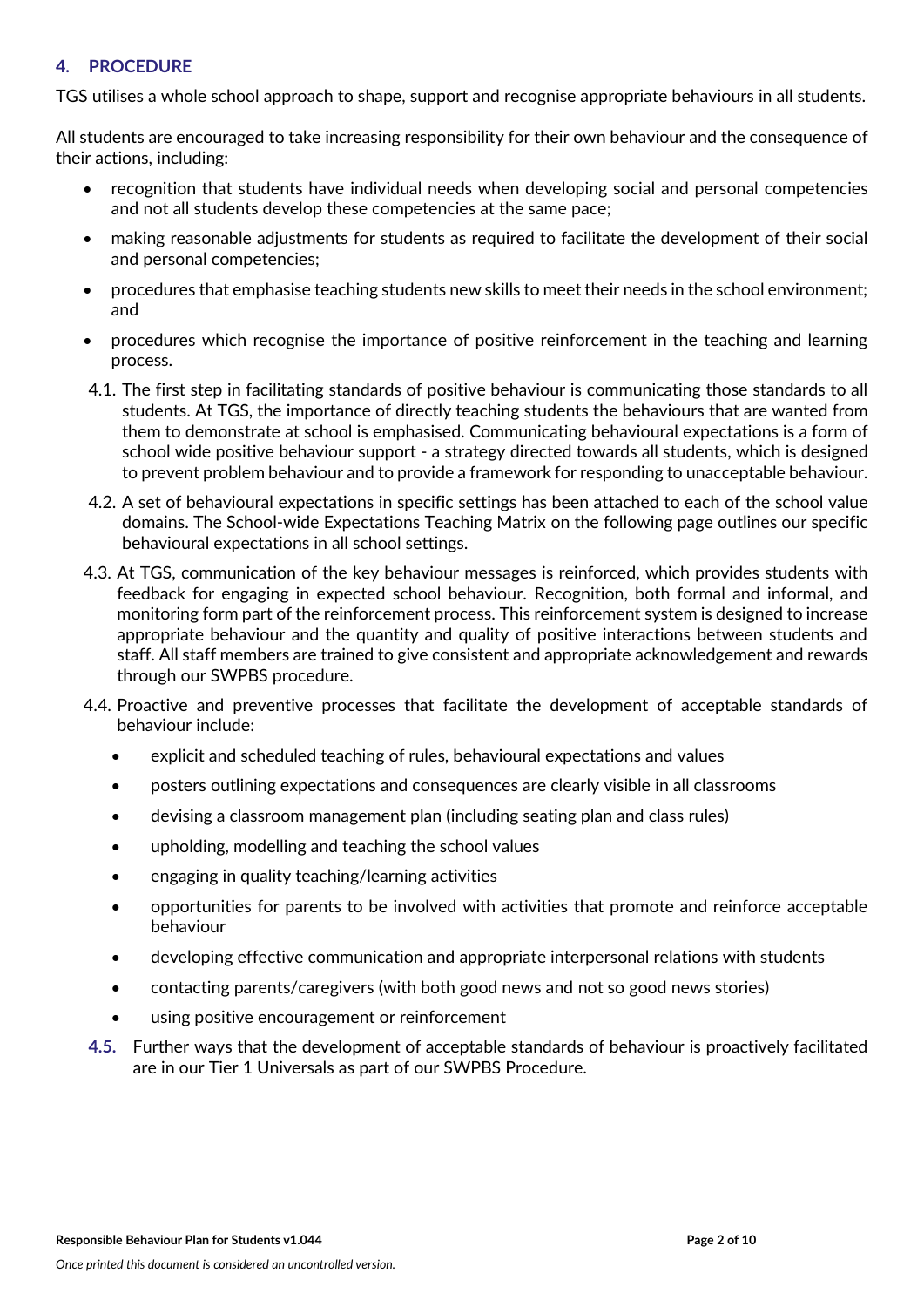#### **4. PROCEDURE**

TGS utilises a whole school approach to shape, support and recognise appropriate behaviours in all students.

All students are encouraged to take increasing responsibility for their own behaviour and the consequence of their actions, including:

- recognition that students have individual needs when developing social and personal competencies and not all students develop these competencies at the same pace;
- making reasonable adjustments for students as required to facilitate the development of their social and personal competencies;
- procedures that emphasise teaching students new skills to meet their needs in the school environment; and
- procedures which recognise the importance of positive reinforcement in the teaching and learning process.
- 4.1. The first step in facilitating standards of positive behaviour is communicating those standards to all students. At TGS, the importance of directly teaching students the behaviours that are wanted from them to demonstrate at school is emphasised. Communicating behavioural expectations is a form of school wide positive behaviour support - a strategy directed towards all students, which is designed to prevent problem behaviour and to provide a framework for responding to unacceptable behaviour.
- 4.2. A set of behavioural expectations in specific settings has been attached to each of the school value domains. The School-wide Expectations Teaching Matrix on the following page outlines our specific behavioural expectations in all school settings.
- 4.3. At TGS, communication of the key behaviour messages is reinforced, which provides students with feedback for engaging in expected school behaviour. Recognition, both formal and informal, and monitoring form part of the reinforcement process. This reinforcement system is designed to increase appropriate behaviour and the quantity and quality of positive interactions between students and staff. All staff members are trained to give consistent and appropriate acknowledgement and rewards through our SWPBS procedure.
- 4.4. Proactive and preventive processes that facilitate the development of acceptable standards of behaviour include:
	- explicit and scheduled teaching of rules, behavioural expectations and values
	- posters outlining expectations and consequences are clearly visible in all classrooms
	- devising a classroom management plan (including seating plan and class rules)
	- upholding, modelling and teaching the school values
	- engaging in quality teaching/learning activities
	- opportunities for parents to be involved with activities that promote and reinforce acceptable behaviour
	- developing effective communication and appropriate interpersonal relations with students
	- contacting parents/caregivers (with both good news and not so good news stories)
	- using positive encouragement or reinforcement
- **4.5.** Further ways that the development of acceptable standards of behaviour is proactively facilitated are in our Tier 1 Universals as part of our SWPBS Procedure.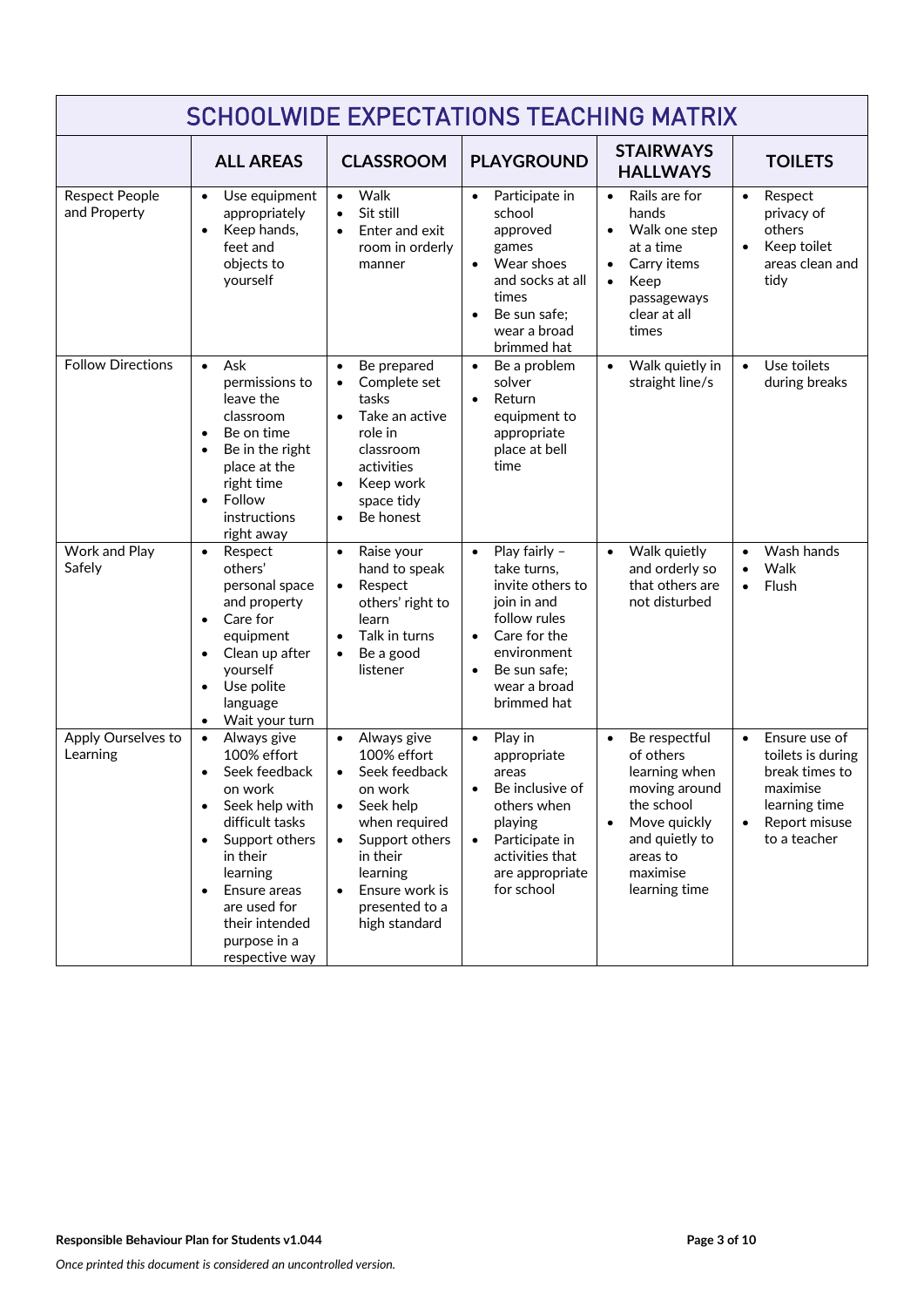| <b>SCHOOLWIDE EXPECTATIONS TEACHING MATRIX</b> |                                                                                                                                                                                                                                                                  |                                                                                                                                                                                                                                         |                                                                                                                                                                                                      |                                                                                                                                                                                 |                                                                                                                                 |
|------------------------------------------------|------------------------------------------------------------------------------------------------------------------------------------------------------------------------------------------------------------------------------------------------------------------|-----------------------------------------------------------------------------------------------------------------------------------------------------------------------------------------------------------------------------------------|------------------------------------------------------------------------------------------------------------------------------------------------------------------------------------------------------|---------------------------------------------------------------------------------------------------------------------------------------------------------------------------------|---------------------------------------------------------------------------------------------------------------------------------|
|                                                | <b>ALL AREAS</b>                                                                                                                                                                                                                                                 | <b>CLASSROOM</b>                                                                                                                                                                                                                        | <b>PLAYGROUND</b>                                                                                                                                                                                    | <b>STAIRWAYS</b><br><b>HALLWAYS</b>                                                                                                                                             | <b>TOILETS</b>                                                                                                                  |
| <b>Respect People</b><br>and Property          | Use equipment<br>$\bullet$<br>appropriately<br>Keep hands,<br>feet and<br>objects to<br>yourself                                                                                                                                                                 | Walk<br>$\bullet$<br>Sit still<br>$\bullet$<br>Enter and exit<br>room in orderly<br>manner                                                                                                                                              | Participate in<br>$\bullet$<br>school<br>approved<br>games<br>Wear shoes<br>$\bullet$<br>and socks at all<br>times<br>Be sun safe;<br>$\bullet$<br>wear a broad<br>brimmed hat                       | Rails are for<br>$\bullet$<br>hands<br>Walk one step<br>$\bullet$<br>at a time<br>Carry items<br>Keep<br>$\bullet$<br>passageways<br>clear at all<br>times                      | Respect<br>$\bullet$<br>privacy of<br>others<br>Keep toilet<br>$\bullet$<br>areas clean and<br>tidy                             |
| <b>Follow Directions</b>                       | Ask<br>$\bullet$<br>permissions to<br>leave the<br>classroom<br>Be on time<br>Be in the right<br>place at the<br>right time<br>Follow<br>$\bullet$<br>instructions<br>right away                                                                                 | Be prepared<br>$\bullet$<br>Complete set<br>tasks<br>Take an active<br>$\bullet$<br>role in<br>classroom<br>activities<br>Keep work<br>$\bullet$<br>space tidy<br>Be honest<br>$\bullet$                                                | Be a problem<br>$\bullet$<br>solver<br>Return<br>$\bullet$<br>equipment to<br>appropriate<br>place at bell<br>time                                                                                   | Walk quietly in<br>$\bullet$<br>straight line/s                                                                                                                                 | Use toilets<br>$\bullet$<br>during breaks                                                                                       |
| Work and Play<br>Safely                        | Respect<br>$\bullet$<br>others'<br>personal space<br>and property<br>Care for<br>$\bullet$<br>equipment<br>Clean up after<br>yourself<br>Use polite<br>language<br>Wait your turn                                                                                | Raise your<br>$\bullet$<br>hand to speak<br>Respect<br>$\bullet$<br>others' right to<br>learn<br>Talk in turns<br>$\bullet$<br>Be a good<br>$\bullet$<br>listener                                                                       | Play fairly -<br>$\bullet$<br>take turns,<br>invite others to<br>join in and<br>follow rules<br>Care for the<br>$\bullet$<br>environment<br>Be sun safe;<br>$\bullet$<br>wear a broad<br>brimmed hat | Walk quietly<br>$\bullet$<br>and orderly so<br>that others are<br>not disturbed                                                                                                 | Wash hands<br>$\bullet$<br>Walk<br>Flush<br>$\bullet$                                                                           |
| Apply Ourselves to<br>Learning                 | Always give<br>$\bullet$<br>100% effort<br>Seek feedback<br>on work<br>Seek help with<br>$\bullet$<br>difficult tasks<br>Support others<br>in their<br>learning<br>Ensure areas<br>$\bullet$<br>are used for<br>their intended<br>purpose in a<br>respective way | Always give<br>$\bullet$<br>100% effort<br>Seek feedback<br>$\bullet$<br>on work<br>Seek help<br>$\bullet$<br>when required<br>Support others<br>$\bullet$<br>in their<br>learning<br>Ensure work is<br>presented to a<br>high standard | Play in<br>$\bullet$<br>appropriate<br>areas<br>Be inclusive of<br>others when<br>playing<br>Participate in<br>$\bullet$<br>activities that<br>are appropriate<br>for school                         | Be respectful<br>$\bullet$<br>of others<br>learning when<br>moving around<br>the school<br>Move quickly<br>$\bullet$<br>and quietly to<br>areas to<br>maximise<br>learning time | Ensure use of<br>$\bullet$<br>toilets is during<br>break times to<br>maximise<br>learning time<br>Report misuse<br>to a teacher |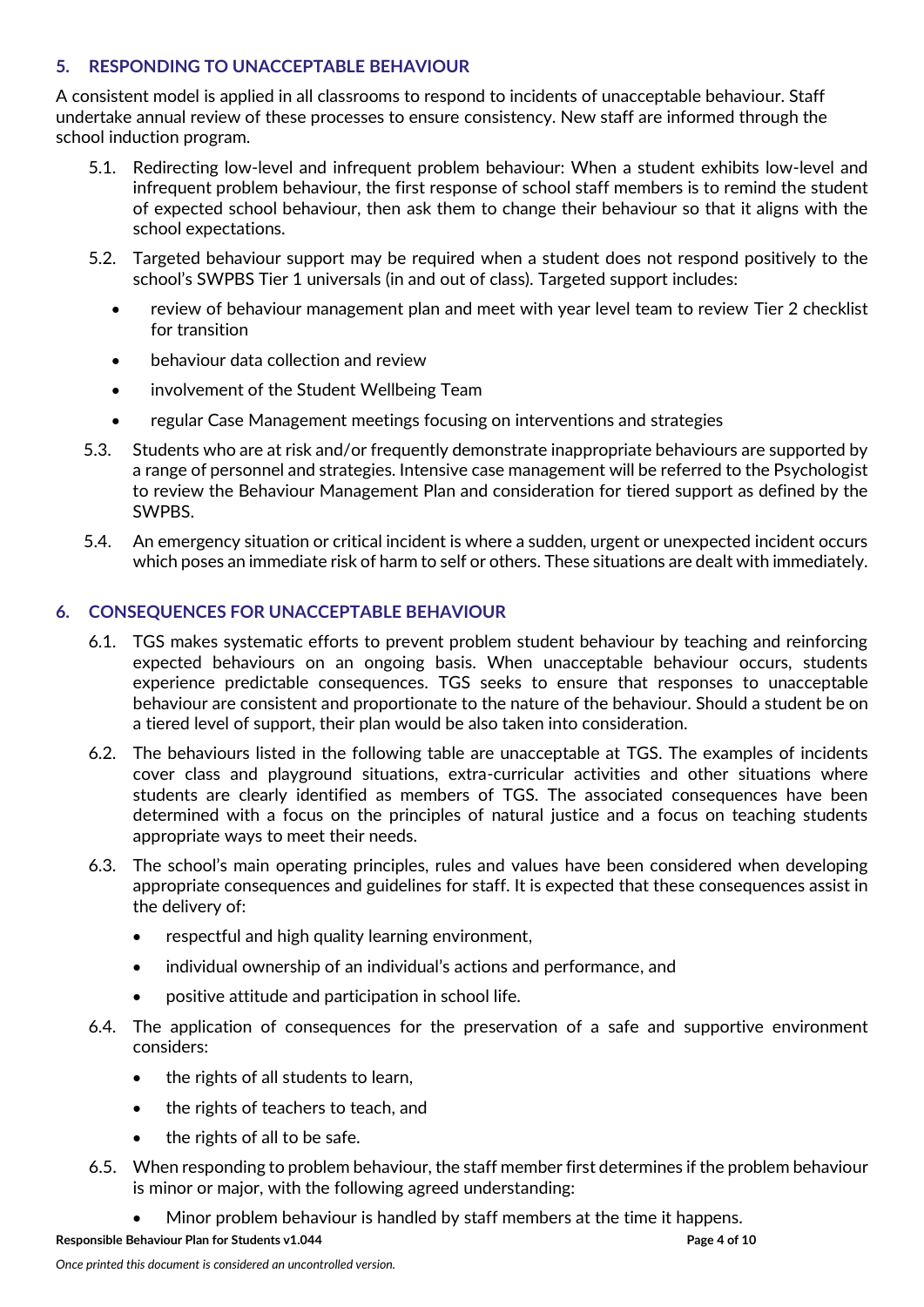## **5. RESPONDING TO UNACCEPTABLE BEHAVIOUR**

A consistent model is applied in all classrooms to respond to incidents of unacceptable behaviour. Staff undertake annual review of these processes to ensure consistency. New staff are informed through the school induction program.

- 5.1. Redirecting low-level and infrequent problem behaviour: When a student exhibits low-level and infrequent problem behaviour, the first response of school staff members is to remind the student of expected school behaviour, then ask them to change their behaviour so that it aligns with the school expectations.
- 5.2. Targeted behaviour support may be required when a student does not respond positively to the school's SWPBS Tier 1 universals (in and out of class). Targeted support includes:
	- review of behaviour management plan and meet with year level team to review Tier 2 checklist for transition
	- behaviour data collection and review
	- involvement of the Student Wellbeing Team
	- regular Case Management meetings focusing on interventions and strategies
- 5.3. Students who are at risk and/or frequently demonstrate inappropriate behaviours are supported by a range of personnel and strategies. Intensive case management will be referred to the Psychologist to review the Behaviour Management Plan and consideration for tiered support as defined by the SWPBS.
- 5.4. An emergency situation or critical incident is where a sudden, urgent or unexpected incident occurs which poses an immediate risk of harm to self or others. These situations are dealt with immediately.

#### **6. CONSEQUENCES FOR UNACCEPTABLE BEHAVIOUR**

- 6.1. TGS makes systematic efforts to prevent problem student behaviour by teaching and reinforcing expected behaviours on an ongoing basis. When unacceptable behaviour occurs, students experience predictable consequences. TGS seeks to ensure that responses to unacceptable behaviour are consistent and proportionate to the nature of the behaviour. Should a student be on a tiered level of support, their plan would be also taken into consideration.
- 6.2. The behaviours listed in the following table are unacceptable at TGS. The examples of incidents cover class and playground situations, extra-curricular activities and other situations where students are clearly identified as members of TGS. The associated consequences have been determined with a focus on the principles of natural justice and a focus on teaching students appropriate ways to meet their needs.
- 6.3. The school's main operating principles, rules and values have been considered when developing appropriate consequences and guidelines for staff. It is expected that these consequences assist in the delivery of:
	- respectful and high quality learning environment,
	- individual ownership of an individual's actions and performance, and
	- positive attitude and participation in school life.
- 6.4. The application of consequences for the preservation of a safe and supportive environment considers:
	- the rights of all students to learn,
	- the rights of teachers to teach, and
	- the rights of all to be safe.
- 6.5. When responding to problem behaviour, the staff member first determines if the problem behaviour is minor or major, with the following agreed understanding:
	- Minor problem behaviour is handled by staff members at the time it happens.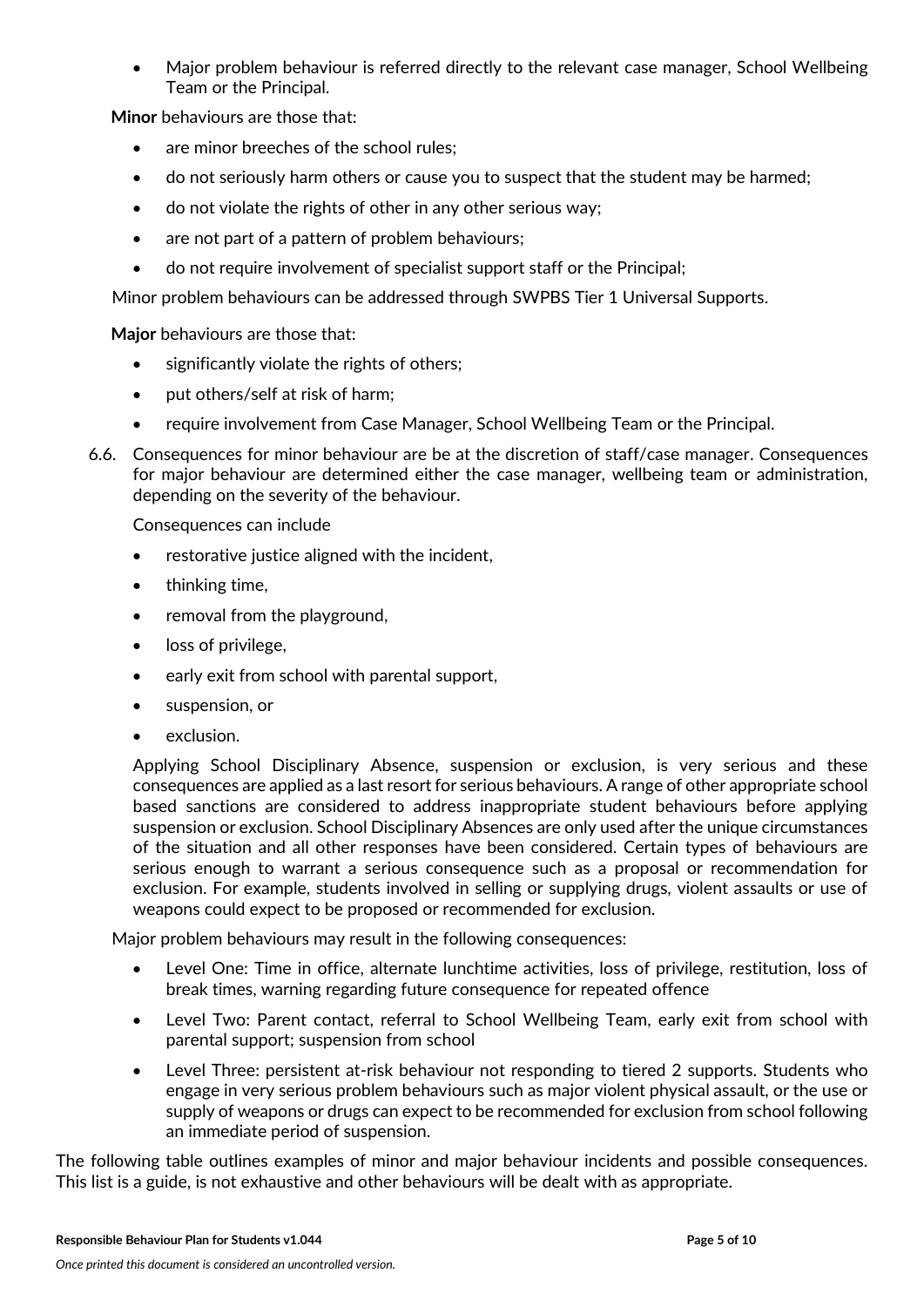• Major problem behaviour is referred directly to the relevant case manager, School Wellbeing Team or the Principal.

**Minor** behaviours are those that:

- are minor breeches of the school rules:
- do not seriously harm others or cause you to suspect that the student may be harmed;
- do not violate the rights of other in any other serious way;
- are not part of a pattern of problem behaviours;
- do not require involvement of specialist support staff or the Principal:

Minor problem behaviours can be addressed through SWPBS Tier 1 Universal Supports.

**Major** behaviours are those that:

- significantly violate the rights of others;
- put others/self at risk of harm;
- require involvement from Case Manager, School Wellbeing Team or the Principal.
- 6.6. Consequences for minor behaviour are be at the discretion of staff/case manager. Consequences for major behaviour are determined either the case manager, wellbeing team or administration, depending on the severity of the behaviour.

Consequences can include

- restorative justice aligned with the incident,
- thinking time,
- removal from the playground,
- loss of privilege,
- early exit from school with parental support,
- suspension, or
- exclusion.

Applying School Disciplinary Absence, suspension or exclusion, is very serious and these consequences are applied as a last resort for serious behaviours. A range of other appropriate school based sanctions are considered to address inappropriate student behaviours before applying suspension or exclusion. School Disciplinary Absences are only used after the unique circumstances of the situation and all other responses have been considered. Certain types of behaviours are serious enough to warrant a serious consequence such as a proposal or recommendation for exclusion. For example, students involved in selling or supplying drugs, violent assaults or use of weapons could expect to be proposed or recommended for exclusion.

Major problem behaviours may result in the following consequences:

- Level One: Time in office, alternate lunchtime activities, loss of privilege, restitution, loss of break times, warning regarding future consequence for repeated offence
- Level Two: Parent contact, referral to School Wellbeing Team, early exit from school with parental support; suspension from school
- Level Three: persistent at-risk behaviour not responding to tiered 2 supports. Students who engage in very serious problem behaviours such as major violent physical assault, or the use or supply of weapons or drugs can expect to be recommended for exclusion from school following an immediate period of suspension.

The following table outlines examples of minor and major behaviour incidents and possible consequences. This list is a guide, is not exhaustive and other behaviours will be dealt with as appropriate.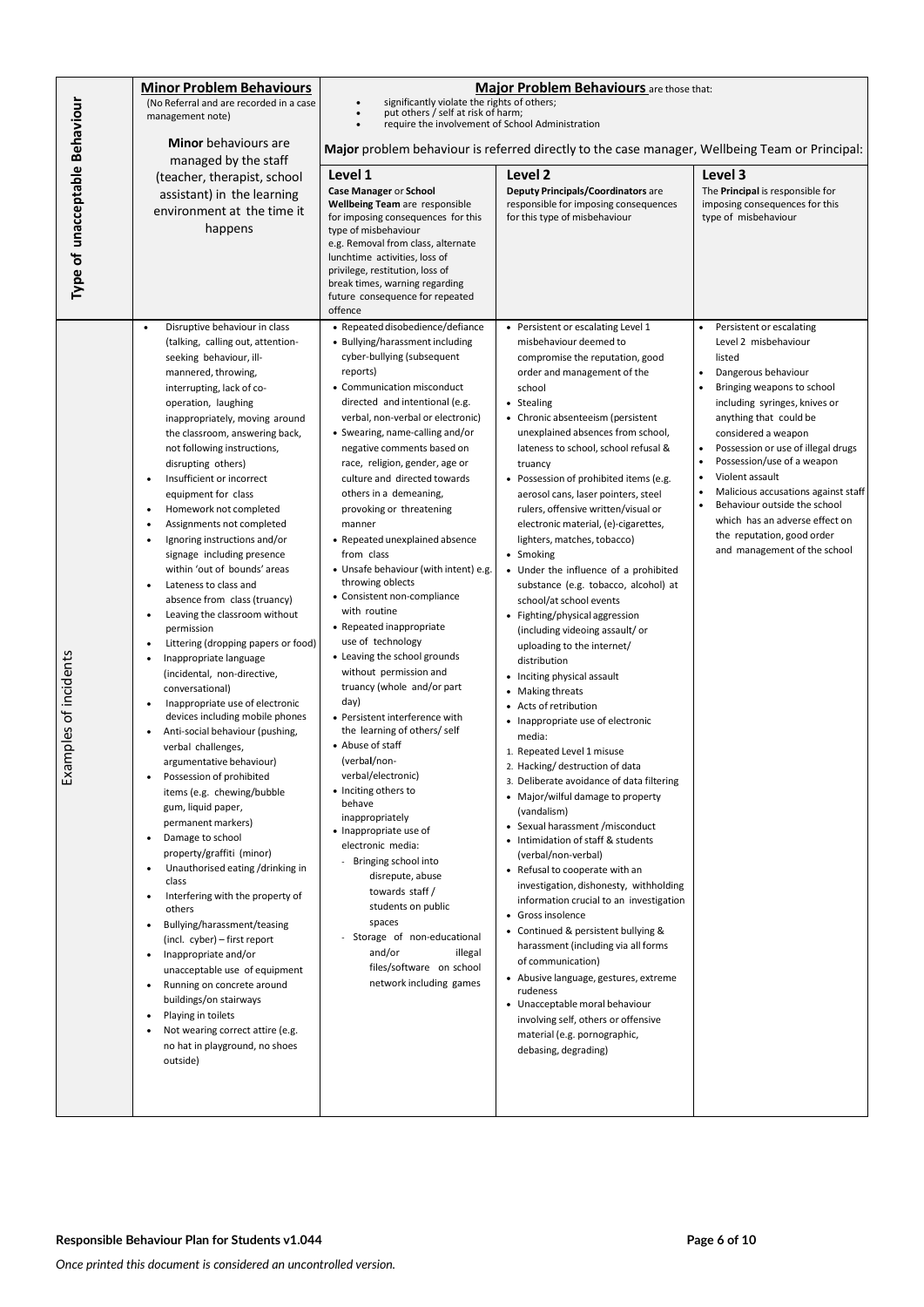|                                | <b>Minor Problem Behaviours</b>                                            | <b>Major Problem Behaviours</b> are those that:                                                |                                                                               |                                                              |
|--------------------------------|----------------------------------------------------------------------------|------------------------------------------------------------------------------------------------|-------------------------------------------------------------------------------|--------------------------------------------------------------|
|                                | (No Referral and are recorded in a case                                    | significantly violate the rights of others;<br>put others / self at risk of harm;              |                                                                               |                                                              |
|                                | management note)                                                           | require the involvement of School Administration                                               |                                                                               |                                                              |
| Type of unacceptable Behaviour | <b>Minor</b> behaviours are                                                | Major problem behaviour is referred directly to the case manager, Wellbeing Team or Principal: |                                                                               |                                                              |
|                                | managed by the staff                                                       | Level 1<br>Level 2<br>Level 3                                                                  |                                                                               |                                                              |
|                                | (teacher, therapist, school<br>assistant) in the learning                  | Case Manager or School                                                                         | <b>Deputy Principals/Coordinators are</b>                                     | The Principal is responsible for                             |
|                                | environment at the time it                                                 | <b>Wellbeing Team are responsible</b>                                                          | responsible for imposing consequences                                         | imposing consequences for this                               |
|                                | happens                                                                    | for imposing consequences for this<br>type of misbehaviour                                     | for this type of misbehaviour                                                 | type of misbehaviour                                         |
|                                |                                                                            | e.g. Removal from class, alternate<br>lunchtime activities, loss of                            |                                                                               |                                                              |
|                                |                                                                            | privilege, restitution, loss of                                                                |                                                                               |                                                              |
|                                |                                                                            | break times, warning regarding<br>future consequence for repeated                              |                                                                               |                                                              |
|                                |                                                                            | offence                                                                                        |                                                                               |                                                              |
|                                | Disruptive behaviour in class<br>$\bullet$                                 | • Repeated disobedience/defiance                                                               | • Persistent or escalating Level 1                                            | Persistent or escalating                                     |
|                                | (talking, calling out, attention-<br>seeking behaviour, ill-               | • Bullying/harassment including<br>cyber-bullying (subsequent                                  | misbehaviour deemed to<br>compromise the reputation, good                     | Level 2 misbehaviour<br>listed                               |
|                                | mannered, throwing,                                                        | reports)                                                                                       | order and management of the                                                   | Dangerous behaviour                                          |
|                                | interrupting, lack of co-                                                  | • Communication misconduct                                                                     | school                                                                        | Bringing weapons to school                                   |
|                                | operation, laughing                                                        | directed and intentional (e.g.<br>verbal, non-verbal or electronic)                            | • Stealing<br>• Chronic absenteeism (persistent                               | including syringes, knives or<br>anything that could be      |
|                                | inappropriately, moving around<br>the classroom, answering back,           | • Swearing, name-calling and/or                                                                | unexplained absences from school,                                             | considered a weapon                                          |
|                                | not following instructions,                                                | negative comments based on                                                                     | lateness to school, school refusal &                                          | Possession or use of illegal drugs                           |
|                                | disrupting others)                                                         | race, religion, gender, age or                                                                 | truancy                                                                       | Possession/use of a weapon<br>Violent assault                |
|                                | Insufficient or incorrect<br>$\bullet$<br>equipment for class              | culture and directed towards<br>others in a demeaning,                                         | • Possession of prohibited items (e.g.<br>aerosol cans, laser pointers, steel | Malicious accusations against staff                          |
|                                | Homework not completed                                                     | provoking or threatening                                                                       | rulers, offensive written/visual or                                           | Behaviour outside the school                                 |
|                                | Assignments not completed                                                  | manner                                                                                         | electronic material, (e)-cigarettes,                                          | which has an adverse effect on<br>the reputation, good order |
|                                | Ignoring instructions and/or<br>signage including presence                 | • Repeated unexplained absence<br>from class                                                   | lighters, matches, tobacco)<br>• Smoking                                      | and management of the school                                 |
|                                | within 'out of bounds' areas                                               | • Unsafe behaviour (with intent) e.g.                                                          | • Under the influence of a prohibited                                         |                                                              |
|                                | Lateness to class and<br>$\bullet$                                         | throwing oblects<br>• Consistent non-compliance                                                | substance (e.g. tobacco, alcohol) at                                          |                                                              |
|                                | absence from class (truancy)<br>Leaving the classroom without<br>$\bullet$ | with routine                                                                                   | school/at school events<br>• Fighting/physical aggression                     |                                                              |
|                                | permission                                                                 | • Repeated inappropriate                                                                       | (including videoing assault/or                                                |                                                              |
|                                | Littering (dropping papers or food)                                        | use of technology<br>• Leaving the school grounds                                              | uploading to the internet/                                                    |                                                              |
| amples of incidents            | Inappropriate language<br>$\bullet$<br>(incidental, non-directive,         | without permission and                                                                         | distribution<br>• Inciting physical assault                                   |                                                              |
|                                | conversational)                                                            | truancy (whole and/or part                                                                     | Making threats                                                                |                                                              |
|                                | Inappropriate use of electronic<br>$\bullet$                               | day)                                                                                           | Acts of retribution                                                           |                                                              |
|                                | devices including mobile phones<br>Anti-social behaviour (pushing,         | • Persistent interference with<br>the learning of others/self                                  | Inappropriate use of electronic<br>media:                                     |                                                              |
|                                | verbal challenges,                                                         | • Abuse of staff                                                                               | 1. Repeated Level 1 misuse                                                    |                                                              |
|                                | argumentative behaviour)                                                   | (verbal/non-<br>verbal/electronic)                                                             | 2. Hacking/ destruction of data                                               |                                                              |
| £x                             | Possession of prohibited<br>items (e.g. chewing/bubble                     | • Inciting others to                                                                           | 3. Deliberate avoidance of data filtering                                     |                                                              |
|                                | gum, liquid paper,                                                         | behave                                                                                         | • Major/wilful damage to property<br>(vandalism)                              |                                                              |
|                                | permanent markers)                                                         | inappropriately<br>• Inappropriate use of                                                      | • Sexual harassment / misconduct                                              |                                                              |
|                                | Damage to school<br>property/graffiti (minor)                              | electronic media:                                                                              | • Intimidation of staff & students<br>(verbal/non-verbal)                     |                                                              |
|                                | Unauthorised eating /drinking in<br>$\bullet$                              | - Bringing school into                                                                         | • Refusal to cooperate with an                                                |                                                              |
|                                | class                                                                      | disrepute, abuse<br>towards staff/                                                             | investigation, dishonesty, withholding                                        |                                                              |
|                                | Interfering with the property of<br>others                                 | students on public                                                                             | information crucial to an investigation                                       |                                                              |
|                                | Bullying/harassment/teasing                                                | spaces                                                                                         | • Gross insolence<br>Continued & persistent bullying &                        |                                                              |
|                                | (incl. cyber) - first report<br>Inappropriate and/or                       | - Storage of non-educational<br>and/or<br>illegal                                              | harassment (including via all forms                                           |                                                              |
|                                | $\bullet$<br>unacceptable use of equipment                                 | files/software on school                                                                       | of communication)                                                             |                                                              |
|                                | Running on concrete around<br>٠                                            | network including games                                                                        | • Abusive language, gestures, extreme<br>rudeness                             |                                                              |
|                                | buildings/on stairways                                                     |                                                                                                | • Unacceptable moral behaviour                                                |                                                              |
|                                | Playing in toilets<br>Not wearing correct attire (e.g.                     |                                                                                                | involving self, others or offensive                                           |                                                              |
|                                | no hat in playground, no shoes                                             |                                                                                                | material (e.g. pornographic,<br>debasing, degrading)                          |                                                              |
|                                | outside)                                                                   |                                                                                                |                                                                               |                                                              |
|                                |                                                                            |                                                                                                |                                                                               |                                                              |
|                                |                                                                            |                                                                                                |                                                                               |                                                              |
|                                |                                                                            |                                                                                                |                                                                               |                                                              |
|                                |                                                                            |                                                                                                |                                                                               |                                                              |
|                                |                                                                            |                                                                                                |                                                                               |                                                              |
|                                |                                                                            |                                                                                                |                                                                               |                                                              |
|                                |                                                                            |                                                                                                |                                                                               |                                                              |
|                                | Responsible Behaviour Plan for Students v1.044                             |                                                                                                |                                                                               | Page 6 of 10                                                 |
|                                | Once printed this document is considered an uncontrolled version.          |                                                                                                |                                                                               |                                                              |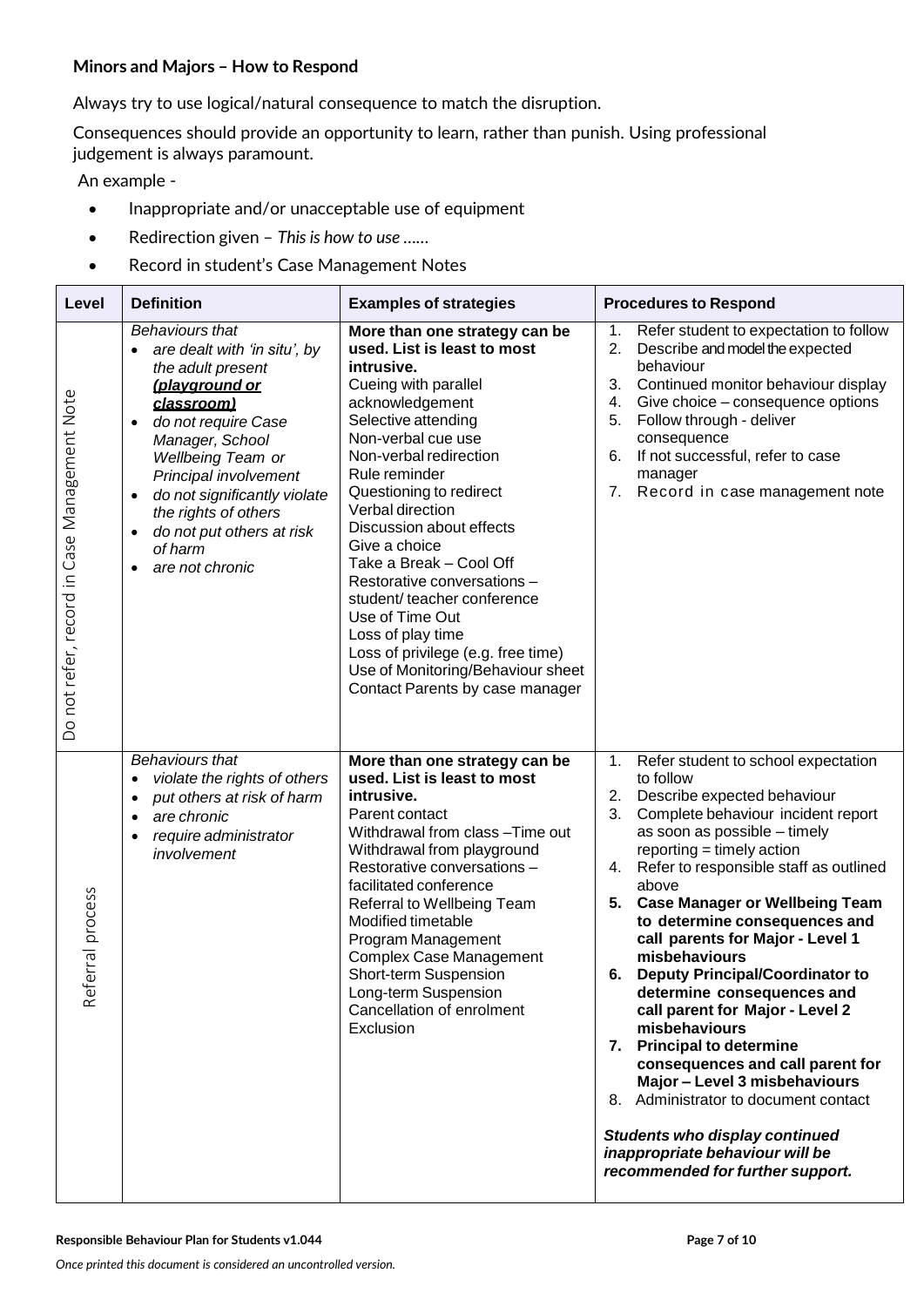#### **Minors and Majors – How to Respond**

Always try to use logical/natural consequence to match the disruption.

Consequences should provide an opportunity to learn, rather than punish. Using professional judgement is always paramount.

An example -

- Inappropriate and/or unacceptable use of equipment
- Redirection given *This is how to use ……*
- Record in student's Case Management Notes

| Level                                        | <b>Definition</b>                                                                                                                                                                                                                                                                                                                                                                 | <b>Examples of strategies</b>                                                                                                                                                                                                                                                                                                                                                                                                                                                                                                                           | <b>Procedures to Respond</b>                                                                                                                                                                                                                                                                                                                                                                                                                                                                                                                                                                                                                                                                                                                                                                  |
|----------------------------------------------|-----------------------------------------------------------------------------------------------------------------------------------------------------------------------------------------------------------------------------------------------------------------------------------------------------------------------------------------------------------------------------------|---------------------------------------------------------------------------------------------------------------------------------------------------------------------------------------------------------------------------------------------------------------------------------------------------------------------------------------------------------------------------------------------------------------------------------------------------------------------------------------------------------------------------------------------------------|-----------------------------------------------------------------------------------------------------------------------------------------------------------------------------------------------------------------------------------------------------------------------------------------------------------------------------------------------------------------------------------------------------------------------------------------------------------------------------------------------------------------------------------------------------------------------------------------------------------------------------------------------------------------------------------------------------------------------------------------------------------------------------------------------|
| Do not refer, record in Case Management Note | <b>Behaviours that</b><br>are dealt with 'in situ', by<br>the adult present<br>(playground or<br>classroom)<br>do not require Case<br>$\bullet$<br>Manager, School<br><b>Wellbeing Team or</b><br>Principal involvement<br>do not significantly violate<br>$\bullet$<br>the rights of others<br>do not put others at risk<br>$\bullet$<br>of harm<br>are not chronic<br>$\bullet$ | More than one strategy can be<br>used. List is least to most<br>intrusive.<br>Cueing with parallel<br>acknowledgement<br>Selective attending<br>Non-verbal cue use<br>Non-verbal redirection<br>Rule reminder<br>Questioning to redirect<br>Verbal direction<br>Discussion about effects<br>Give a choice<br>Take a Break - Cool Off<br>Restorative conversations -<br>student/teacher conference<br>Use of Time Out<br>Loss of play time<br>Loss of privilege (e.g. free time)<br>Use of Monitoring/Behaviour sheet<br>Contact Parents by case manager | Refer student to expectation to follow<br>1.<br>2.<br>Describe and model the expected<br>behaviour<br>Continued monitor behaviour display<br>3.<br>Give choice – consequence options<br>4.<br>Follow through - deliver<br>5.<br>consequence<br>If not successful, refer to case<br>6.<br>manager<br>Record in case management note<br>7.                                                                                                                                                                                                                                                                                                                                                                                                                                                      |
| erral process<br>Ref                         | <b>Behaviours that</b><br>violate the rights of others<br>٠<br>put others at risk of harm<br>$\bullet$<br>are chronic<br>٠<br>require administrator<br>٠<br>involvement                                                                                                                                                                                                           | More than one strategy can be<br>used. List is least to most<br>intrusive.<br>Parent contact<br>Withdrawal from class - Time out<br>Withdrawal from playground<br>Restorative conversations -<br>facilitated conference<br>Referral to Wellbeing Team<br>Modified timetable<br>Program Management<br><b>Complex Case Management</b><br>Short-term Suspension<br>Long-term Suspension<br>Cancellation of enrolment<br>Exclusion                                                                                                                          | $\mathbf{1}$ .<br>Refer student to school expectation<br>to follow<br>Describe expected behaviour<br>2.<br>Complete behaviour incident report<br>3.<br>as soon as possible - timely<br>reporting = timely action<br>4. Refer to responsible staff as outlined<br>above<br>5. Case Manager or Wellbeing Team<br>to determine consequences and<br>call parents for Major - Level 1<br>misbehaviours<br><b>Deputy Principal/Coordinator to</b><br>6.<br>determine consequences and<br>call parent for Major - Level 2<br>misbehaviours<br>7. Principal to determine<br>consequences and call parent for<br>Major - Level 3 misbehaviours<br>8. Administrator to document contact<br><b>Students who display continued</b><br>inappropriate behaviour will be<br>recommended for further support. |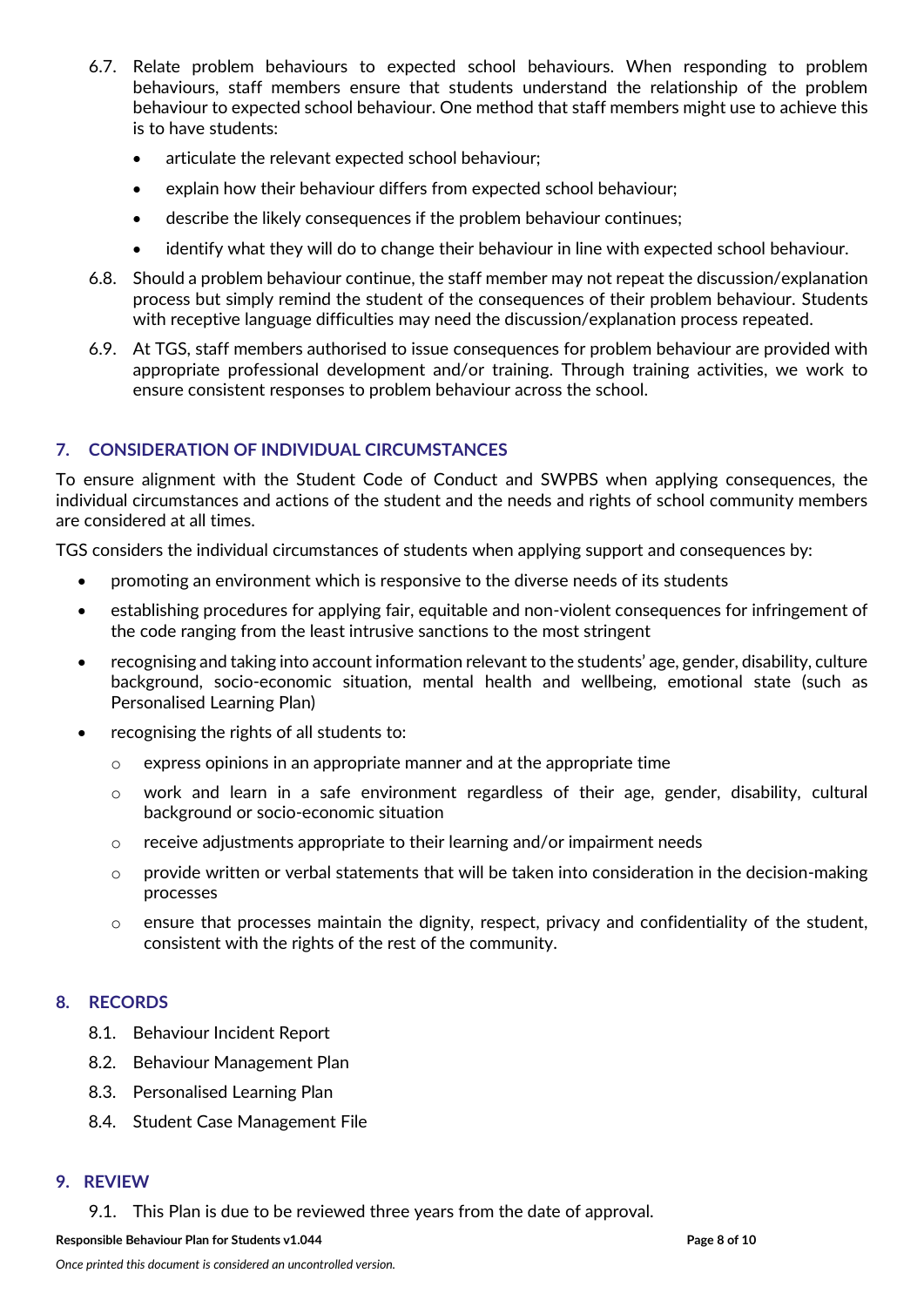- 6.7. Relate problem behaviours to expected school behaviours. When responding to problem behaviours, staff members ensure that students understand the relationship of the problem behaviour to expected school behaviour. One method that staff members might use to achieve this is to have students:
	- articulate the relevant expected school behaviour;
	- explain how their behaviour differs from expected school behaviour;
	- describe the likely consequences if the problem behaviour continues;
	- identify what they will do to change their behaviour in line with expected school behaviour.
- 6.8. Should a problem behaviour continue, the staff member may not repeat the discussion/explanation process but simply remind the student of the consequences of their problem behaviour. Students with receptive language difficulties may need the discussion/explanation process repeated.
- 6.9. At TGS, staff members authorised to issue consequences for problem behaviour are provided with appropriate professional development and/or training. Through training activities, we work to ensure consistent responses to problem behaviour across the school.

## **7. CONSIDERATION OF INDIVIDUAL CIRCUMSTANCES**

To ensure alignment with the Student Code of Conduct and SWPBS when applying consequences, the individual circumstances and actions of the student and the needs and rights of school community members are considered at all times.

TGS considers the individual circumstances of students when applying support and consequences by:

- promoting an environment which is responsive to the diverse needs of its students
- establishing procedures for applying fair, equitable and non-violent consequences for infringement of the code ranging from the least intrusive sanctions to the most stringent
- recognising and taking into account information relevant to the students' age, gender, disability, culture background, socio-economic situation, mental health and wellbeing, emotional state (such as Personalised Learning Plan)
- recognising the rights of all students to:
	- o express opinions in an appropriate manner and at the appropriate time
	- $\circ$  work and learn in a safe environment regardless of their age, gender, disability, cultural background or socio-economic situation
	- o receive adjustments appropriate to their learning and/or impairment needs
	- o provide written or verbal statements that will be taken into consideration in the decision-making processes
	- $\circ$  ensure that processes maintain the dignity, respect, privacy and confidentiality of the student, consistent with the rights of the rest of the community.

#### **8. RECORDS**

- 8.1. Behaviour Incident Report
- 8.2. Behaviour Management Plan
- 8.3. Personalised Learning Plan
- 8.4. Student Case Management File

#### **9. REVIEW**

9.1. This Plan is due to be reviewed three years from the date of approval.

**Responsible Behaviour Plan for Students v1.044 Page 8 of 10**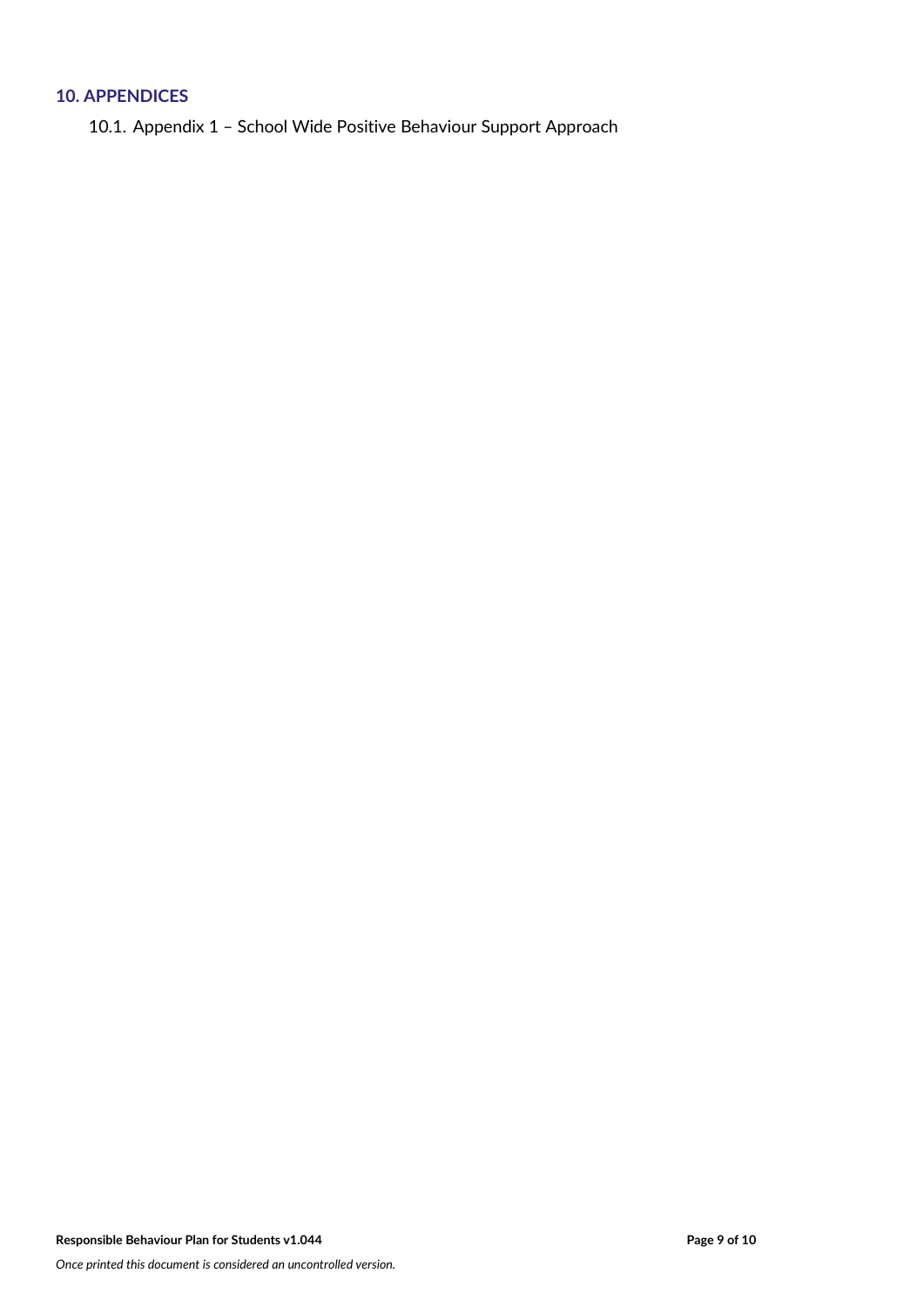# **10. APPENDICES**

10.1. Appendix 1 – School Wide Positive Behaviour Support Approach